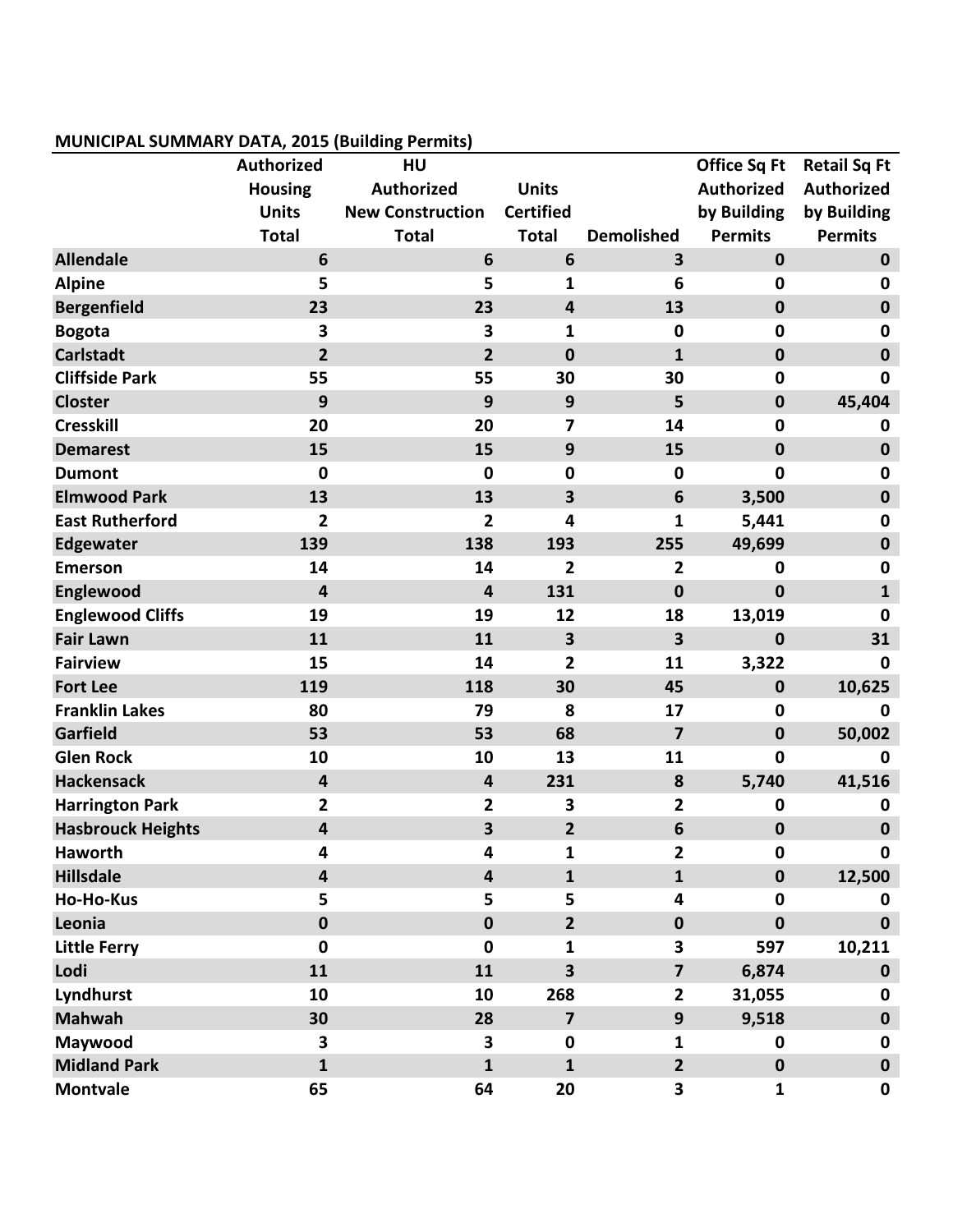## **MUNICIPAL SUMMARY DATA, 2015 (Building Permits)**

|                          | Authorized              | HU                      |                         |                         | <b>Office Sq Ft</b> | <b>Retail Sq Ft</b> |
|--------------------------|-------------------------|-------------------------|-------------------------|-------------------------|---------------------|---------------------|
|                          | <b>Housing</b>          | <b>Authorized</b>       | <b>Units</b>            |                         | <b>Authorized</b>   | <b>Authorized</b>   |
|                          | <b>Units</b>            | <b>New Construction</b> | <b>Certified</b>        |                         | by Building         | by Building         |
|                          | <b>Total</b>            | <b>Total</b>            | <b>Total</b>            | <b>Demolished</b>       | <b>Permits</b>      | <b>Permits</b>      |
| <b>Allendale</b>         | 6                       | 6                       | $6\phantom{1}$          | 3                       | $\mathbf 0$         | $\mathbf 0$         |
| <b>Alpine</b>            | 5                       | 5                       | 1                       | 6                       | $\bf{0}$            | 0                   |
| <b>Bergenfield</b>       | 23                      | 23                      | $\overline{\mathbf{4}}$ | 13                      | $\mathbf 0$         | $\mathbf 0$         |
| <b>Bogota</b>            | 3                       | 3                       | 1                       | $\mathbf 0$             | $\mathbf 0$         | 0                   |
| <b>Carlstadt</b>         | $\overline{2}$          | $\overline{2}$          | $\mathbf 0$             | $\mathbf{1}$            | $\mathbf 0$         | $\mathbf 0$         |
| <b>Cliffside Park</b>    | 55                      | 55                      | 30                      | 30                      | $\mathbf 0$         | $\mathbf 0$         |
| <b>Closter</b>           | 9                       | 9                       | 9                       | 5                       | $\bf{0}$            | 45,404              |
| <b>Cresskill</b>         | 20                      | 20                      | 7                       | 14                      | $\mathbf 0$         | 0                   |
| <b>Demarest</b>          | 15                      | 15                      | $\mathbf{9}$            | 15                      | $\bf{0}$            | $\mathbf 0$         |
| <b>Dumont</b>            | $\mathbf 0$             | $\mathbf 0$             | $\mathbf 0$             | $\mathbf 0$             | $\mathbf 0$         | $\bf{0}$            |
| <b>Elmwood Park</b>      | 13                      | 13                      | 3                       | 6                       | 3,500               | $\mathbf 0$         |
| <b>East Rutherford</b>   | $\overline{2}$          | $\overline{2}$          | 4                       | $\mathbf{1}$            | 5,441               | $\mathbf 0$         |
| <b>Edgewater</b>         | 139                     | 138                     | 193                     | 255                     | 49,699              | $\mathbf 0$         |
| <b>Emerson</b>           | 14                      | 14                      | $\overline{2}$          | 2                       | $\mathbf 0$         | $\bf{0}$            |
| Englewood                | $\overline{\mathbf{4}}$ | $\overline{4}$          | 131                     | $\mathbf 0$             | $\mathbf 0$         | $\mathbf{1}$        |
| <b>Englewood Cliffs</b>  | 19                      | 19                      | 12                      | 18                      | 13,019              | $\mathbf 0$         |
| <b>Fair Lawn</b>         | 11                      | 11                      | $\overline{\mathbf{3}}$ | 3                       | $\mathbf 0$         | 31                  |
| <b>Fairview</b>          | 15                      | 14                      | $\overline{2}$          | 11                      | 3,322               | 0                   |
| <b>Fort Lee</b>          | 119                     | 118                     | 30                      | 45                      | $\bf{0}$            | 10,625              |
| <b>Franklin Lakes</b>    | 80                      | 79                      | 8                       | 17                      | $\bf{0}$            | $\mathbf 0$         |
| <b>Garfield</b>          | 53                      | 53                      | 68                      | $\overline{7}$          | $\mathbf 0$         | 50,002              |
| <b>Glen Rock</b>         | 10                      | 10                      | 13                      | 11                      | $\mathbf 0$         | 0                   |
| <b>Hackensack</b>        | $\overline{\mathbf{4}}$ | $\overline{\mathbf{4}}$ | 231                     | 8                       | 5,740               | 41,516              |
| <b>Harrington Park</b>   | $\mathbf{2}$            | $\overline{2}$          | $\overline{\mathbf{3}}$ | 2                       | $\bf{0}$            | 0                   |
| <b>Hasbrouck Heights</b> | $\overline{\mathbf{4}}$ | 3                       | $\overline{2}$          | 6                       | $\mathbf 0$         | $\bf{0}$            |
| <b>Haworth</b>           | 4                       | 4                       | 1                       | 2                       | 0                   | 0                   |
| <b>Hillsdale</b>         | $\overline{\mathbf{4}}$ | 4                       | $\mathbf{1}$            | $\mathbf{1}$            | $\mathbf 0$         | 12,500              |
| <b>Ho-Ho-Kus</b>         | 5                       | 5                       | 5                       | 4                       | $\mathbf 0$         | 0                   |
| Leonia                   | $\pmb{0}$               | $\mathbf 0$             | $\overline{2}$          | $\mathbf 0$             | $\mathbf 0$         | $\mathbf 0$         |
| <b>Little Ferry</b>      | $\mathbf 0$             | $\mathbf{0}$            | 1                       | 3                       | 597                 | 10,211              |
| Lodi                     | 11                      | 11                      | $\overline{\mathbf{3}}$ | $\overline{\mathbf{z}}$ | 6,874               | $\bf{0}$            |
| Lyndhurst                | 10                      | 10                      | 268                     | $\overline{2}$          | 31,055              | $\mathbf 0$         |
| <b>Mahwah</b>            | 30                      | 28                      | $\overline{\mathbf{z}}$ | 9                       | 9,518               | $\mathbf 0$         |
| Maywood                  | 3                       | 3                       | $\mathbf 0$             | $\mathbf{1}$            | $\mathbf 0$         | $\mathbf 0$         |
| <b>Midland Park</b>      | $\mathbf{1}$            | $\mathbf{1}$            | $\mathbf{1}$            | $\overline{2}$          | $\bf{0}$            | $\mathbf 0$         |
| <b>Montvale</b>          | 65                      | 64                      | 20                      | 3                       | $\mathbf{1}$        | $\mathbf 0$         |